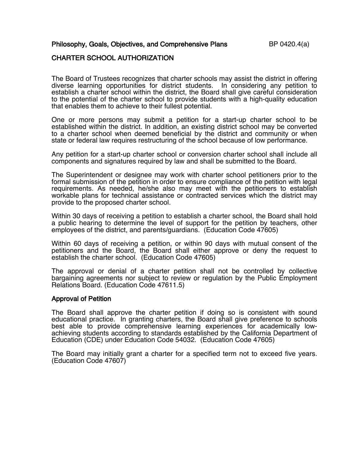Philosophy, Goals, Objectives, and Comprehensive Plans BP 0420.4(a)

## CHARTER SCHOOL AUTHORIZATION

The Board of Trustees recognizes that charter schools may assist the district in offering diverse learning opportunities for district students. In considering any petition to establish a charter school within the district, the Board shall give careful consideration to the potential of the charter school to provide students with a high-quality education that enables them to achieve to their fullest potential.

One or more persons may submit a petition for a start-up charter school to be established within the district. In addition, an existing district school may be converted to a charter school when deemed beneficial by the district and community or when state or federal law requires restructuring of the school because of low performance.

Any petition for a start-up charter school or conversion charter school shall include all components and signatures required by law and shall be submitted to the Board.

The Superintendent or designee may work with charter school petitioners prior to the formal submission of the petition in order to ensure compliance of the petition with legal requirements. As needed, he/she also may meet with the petitioners to establish workable plans for technical assistance or contracted services which the district may provide to the proposed charter school.

Within 30 days of receiving a petition to establish a charter school, the Board shall hold a public hearing to determine the level of support for the petition by teachers, other employees of the district, and parents/guardians. (Education Code 47605)

Within 60 days of receiving a petition, or within 90 days with mutual consent of the petitioners and the Board, the Board shall either approve or deny the request to establish the charter school. (Education Code 47605)

The approval or denial of a charter petition shall not be controlled by collective bargaining agreements nor subject to review or regulation by the Public Employment Relations Board. (Education Code 47611.5)

### Approval of Petition

The Board shall approve the charter petition if doing so is consistent with sound educational practice. In granting charters, the Board shall give preference to schools best able to provide comprehensive learning experiences for academically low-<br>achieving students according to standards established by the California Department of Education (CDE) under Education Code 54032. (Education Code 47605)

The Board may initially grant a charter for a specified term not to exceed five years. (Education Code 47607)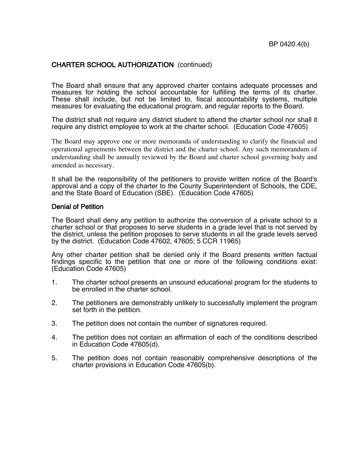## CHARTER SCHOOL AUTHORIZATION (continued)

The Board shall ensure that any approved charter contains adequate processes and measures for holding the school accountable for fulfilling the terms of its charter. These shall include, but not be limited to, fiscal accountability systems, multiple measures for evaluating the educational program, and regular reports to the Board.

The district shall not require any district student to attend the charter school nor shall it require any district employee to work at the charter school. (Education Code 47605)

The Board may approve one or more memoranda of understanding to clarify the financial and operational agreements between the district and the charter school. Any such memorandum of understanding shall be annually reviewed by the Board and charter school governing body and amended as necessary.

It shall be the responsibility of the petitioners to provide written notice of the Board's approval and a copy of the charter to the County Superintendent of Schools, the CDE, and the State Board of Education (SBE). (Education Code 47605)

#### Denial of Petition

The Board shall deny any petition to authorize the conversion of a private school to a charter school or that proposes to serve students in a grade level that is not served by the district, unless the petition proposes to serve students in all the grade levels served by the district. (Education Code 47602, 47605; 5 CCR 11965)

Any other charter petition shall be denied only if the Board presents written factual findings specific to the petition that one or more of the following conditions exist: (Education Code 47605)

- 1. The charter school presents an unsound educational program for the students to be enrolled in the charter school.
- 2. The petitioners are demonstrably unlikely to successfully implement the program set forth in the petition.
- 3. The petition does not contain the number of signatures required.
- 4. The petition does not contain an affirmation of each of the conditions described in Education Code 47605(d).
- 5. The petition does not contain reasonably comprehensive descriptions of the charter provisions in Education Code 47605(b).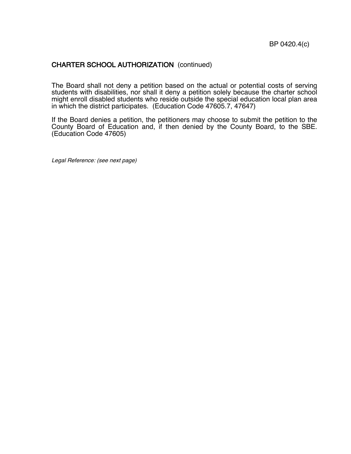# CHARTER SCHOOL AUTHORIZATION (continued)

The Board shall not deny a petition based on the actual or potential costs of serving students with disabilities, nor shall it deny a petition solely because the charter school might enroll disabled students who reside outside the special education local plan area in which the district participates. (Education Code 47605.7, 47647)

If the Board denies a petition, the petitioners may choose to submit the petition to the County Board of Education and, if then denied by the County Board, to the SBE. (Education Code 47605)

Legal Reference: (see next page)